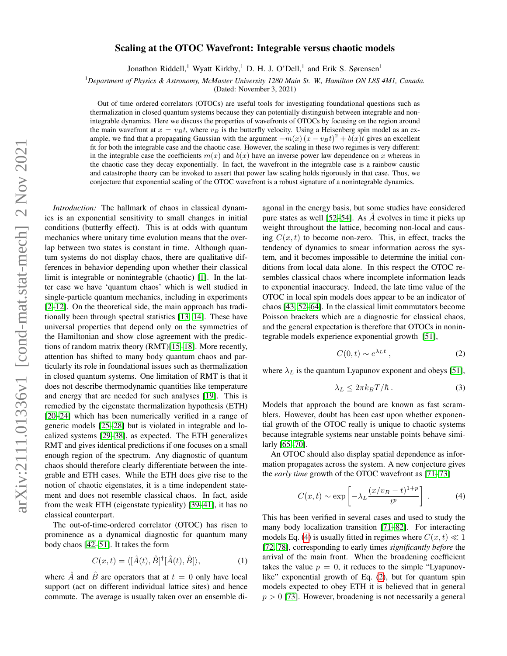## Scaling at the OTOC Wavefront: Integrable versus chaotic models

Jonathon Riddell,<sup>1</sup> Wyatt Kirkby,<sup>1</sup> D. H. J. O'Dell,<sup>1</sup> and Erik S. Sørensen<sup>1</sup>

<sup>1</sup>*Department of Physics & Astronomy, McMaster University 1280 Main St. W., Hamilton ON L8S 4M1, Canada.*

(Dated: November 3, 2021)

Out of time ordered correlators (OTOCs) are useful tools for investigating foundational questions such as thermalization in closed quantum systems because they can potentially distinguish between integrable and nonintegrable dynamics. Here we discuss the properties of wavefronts of OTOCs by focusing on the region around the main wavefront at  $x = v_B t$ , where  $v_B$  is the butterfly velocity. Using a Heisenberg spin model as an example, we find that a propagating Gaussian with the argument  $-m(x)(x - v_Bt)^2 + b(x)t$  gives an excellent fit for both the integrable case and the chaotic case. However, the scaling in these two regimes is very different: in the integrable case the coefficients  $m(x)$  and  $b(x)$  have an inverse power law dependence on x whereas in the chaotic case they decay exponentially. In fact, the wavefront in the integrable case is a rainbow caustic and catastrophe theory can be invoked to assert that power law scaling holds rigorously in that case. Thus, we conjecture that exponential scaling of the OTOC wavefront is a robust signature of a nonintegrable dynamics.

*Introduction:* The hallmark of chaos in classical dynamics is an exponential sensitivity to small changes in initial conditions (butterfly effect). This is at odds with quantum mechanics where unitary time evolution means that the overlap between two states is constant in time. Although quantum systems do not display chaos, there are qualitative differences in behavior depending upon whether their classical limit is integrable or nonintegrable (chaotic) [\[1\]](#page-4-0). In the latter case we have 'quantum chaos' which is well studied in single-particle quantum mechanics, including in experiments [\[2](#page-4-1)[–12\]](#page-4-2). On the theoretical side, the main approach has traditionally been through spectral statistics [\[13,](#page-4-3) [14\]](#page-4-4). These have universal properties that depend only on the symmetries of the Hamiltonian and show close agreement with the predictions of random matrix theory (RMT)[\[15](#page-4-5)[–18\]](#page-4-6). More recently, attention has shifted to many body quantum chaos and particularly its role in foundational issues such as thermalization in closed quantum systems. One limitation of RMT is that it does not describe thermodynamic quantities like temperature and energy that are needed for such analyses [\[19\]](#page-4-7). This is remedied by the eigenstate thermalization hypothesis (ETH) [\[20](#page-4-8)[–24\]](#page-4-9) which has been numerically verified in a range of generic models [\[25](#page-4-10)[–28\]](#page-4-11) but is violated in integrable and localized systems [\[29–](#page-4-12)[38\]](#page-4-13), as expected. The ETH generalizes RMT and gives identical predictions if one focuses on a small enough region of the spectrum. Any diagnostic of quantum chaos should therefore clearly differentiate between the integrable and ETH cases. While the ETH does give rise to the notion of chaotic eigenstates, it is a time independent statement and does not resemble classical chaos. In fact, aside from the weak ETH (eigenstate typicality) [\[39–](#page-4-14)[41\]](#page-5-0), it has no classical counterpart.

The out-of-time-ordered correlator (OTOC) has risen to prominence as a dynamical diagnostic for quantum many body chaos [\[42–](#page-5-1)[51\]](#page-5-2). It takes the form

<span id="page-0-2"></span>
$$
C(x,t) = \langle [\hat{A}(t), \hat{B}]^{\dagger} [\hat{A}(t), \hat{B}] \rangle, \tag{1}
$$

where  $\ddot{A}$  and  $\ddot{B}$  are operators that at  $t = 0$  only have local support (act on different individual lattice sites) and hence commute. The average is usually taken over an ensemble diagonal in the energy basis, but some studies have considered pure states as well [\[52–](#page-5-3)[54\]](#page-5-4). As  $\vec{A}$  evolves in time it picks up weight throughout the lattice, becoming non-local and causing  $C(x, t)$  to become non-zero. This, in effect, tracks the tendency of dynamics to smear information across the system, and it becomes impossible to determine the initial conditions from local data alone. In this respect the OTOC resembles classical chaos where incomplete information leads to exponential inaccuracy. Indeed, the late time value of the OTOC in local spin models does appear to be an indicator of chaos [\[43,](#page-5-5) [52](#page-5-3)[–64\]](#page-5-6). In the classical limit commutators become Poisson brackets which are a diagnostic for classical chaos, and the general expectation is therefore that OTOCs in nonintegrable models experience exponential growth [\[51\]](#page-5-2),

<span id="page-0-1"></span>
$$
C(0,t) \sim e^{\lambda_L t} \,, \tag{2}
$$

where  $\lambda_L$  is the quantum Lyapunov exponent and obeys [\[51\]](#page-5-2),

$$
\lambda_L \le 2\pi k_B T/\hbar \,. \tag{3}
$$

Models that approach the bound are known as fast scramblers. However, doubt has been cast upon whether exponential growth of the OTOC really is unique to chaotic systems because integrable systems near unstable points behave similarly [\[65](#page-5-7)[–70\]](#page-5-8).

An OTOC should also display spatial dependence as information propagates across the system. A new conjecture gives the *early time* growth of the OTOC wavefront as [\[71–](#page-5-9)[73\]](#page-5-10)

<span id="page-0-0"></span>
$$
C(x,t) \sim \exp\left[-\lambda_L \frac{(x/v_B - t)^{1+p}}{t^p}\right].
$$
 (4)

This has been verified in several cases and used to study the many body localization transition [\[71–](#page-5-9)[82\]](#page-5-11). For interacting models Eq. [\(4\)](#page-0-0) is usually fitted in regimes where  $C(x, t) \ll 1$ [\[72,](#page-5-12) [78\]](#page-5-13), corresponding to early times *significantly before* the arrival of the main front. When the broadening coefficient takes the value  $p = 0$ , it reduces to the simple "Lyapunov-like" exponential growth of Eq. [\(2\)](#page-0-1), but for quantum spin models expected to obey ETH it is believed that in general  $p > 0$  [\[73\]](#page-5-10). However, broadening is not necessarily a general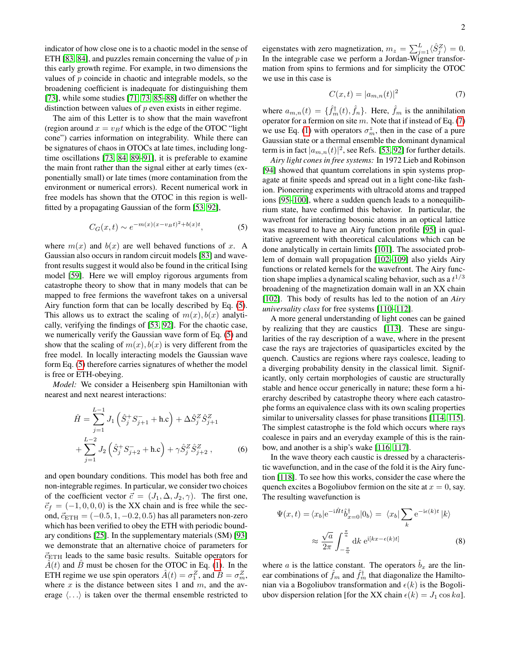indicator of how close one is to a chaotic model in the sense of ETH [\[83,](#page-5-14) [84\]](#page-5-15), and puzzles remain concerning the value of  $p$  in this early growth regime. For example, in two dimensions the values of  $p$  coincide in chaotic and integrable models, so the broadening coefficient is inadequate for distinguishing them [\[73\]](#page-5-10), while some studies [\[71,](#page-5-9) [73,](#page-5-10) [85–](#page-5-16)[88\]](#page-6-0) differ on whether the distinction between values of  $p$  even exists in either regime.

The aim of this Letter is to show that the main wavefront (region around  $x = v_B t$  which is the edge of the OTOC "light") cone") carries information on integrability. While there can be signatures of chaos in OTOCs at late times, including longtime oscillations [\[73,](#page-5-10) [84,](#page-5-15) [89](#page-6-1)[–91\]](#page-6-2), it is preferable to examine the main front rather than the signal either at early times (exponentially small) or late times (more contamination from the environment or numerical errors). Recent numerical work in free models has shown that the OTOC in this region is wellfitted by a propagating Gaussian of the form [\[53,](#page-5-17) [92\]](#page-6-3),

<span id="page-1-0"></span>
$$
C_G(x,t) \sim e^{-m(x)(x-v_B t)^2 + b(x)t},
$$
 (5)

where  $m(x)$  and  $b(x)$  are well behaved functions of x. A Gaussian also occurs in random circuit models [\[83\]](#page-5-14) and wavefront results suggest it would also be found in the critical Ising model [\[59\]](#page-5-18). Here we will employ rigorous arguments from catastrophe theory to show that in many models that can be mapped to free fermions the wavefront takes on a universal Airy function form that can be locally described by Eq. [\(5\)](#page-1-0). This allows us to extract the scaling of  $m(x)$ ,  $b(x)$  analytically, verifying the findings of [\[53,](#page-5-17) [92\]](#page-6-3). For the chaotic case, we numerically verify the Gaussian wave form of Eq. [\(5\)](#page-1-0) and show that the scaling of  $m(x)$ ,  $b(x)$  is very different from the free model. In locally interacting models the Gaussian wave form Eq. [\(5\)](#page-1-0) therefore carries signatures of whether the model is free or ETH-obeying.

*Model:* We consider a Heisenberg spin Hamiltonian with nearest and next nearest interactions:

$$
\hat{H} = \sum_{j=1}^{L-1} J_1 \left( \hat{S}_j^+ S_{j+1}^- + \text{h.c} \right) + \Delta \hat{S}_j^Z \hat{S}_{j+1}^Z + \sum_{j=1}^{L-2} J_2 \left( \hat{S}_j^+ S_{j+2}^- + \text{h.c} \right) + \gamma \hat{S}_j^Z \hat{S}_{j+2}^Z , \tag{6}
$$

and open boundary conditions. This model has both free and non-integrable regimes. In particular, we consider two choices of the coefficient vector  $\vec{c} = (J_1, \Delta, J_2, \gamma)$ . The first one,  $\vec{c}_f = (-1, 0, 0, 0)$  is the XX chain and is free while the second,  $\vec{c}_{\text{ETH}} = (-0.5, 1, -0.2, 0.5)$  has all parameters non-zero which has been verified to obey the ETH with periodic boundary conditions [\[25\]](#page-4-10). In the supplementary materials (SM) [\[93\]](#page-6-4) we demonstrate that an alternative choice of parameters for  $\vec{c}_{\text{ETH}}$  leads to the same basic results. Suitable operators for  $\hat{A}(t)$  and  $\hat{B}$  must be chosen for the OTOC in Eq. [\(1\)](#page-0-2). In the ETH regime we use spin operators  $\hat{A}(t) = \sigma_1^Z$ , and  $\hat{B} = \sigma_m^Z$ , where  $x$  is the distance between sites 1 and  $m$ , and the average  $\langle \ldots \rangle$  is taken over the thermal ensemble restricted to

eigenstates with zero magnetization,  $m_z = \sum_{j=1}^{L} \langle \hat{S}_j^Z \rangle = 0$ . In the integrable case we perform a Jordan-Wigner transformation from spins to fermions and for simplicity the OTOC we use in this case is

<span id="page-1-1"></span>
$$
C(x,t) = |a_{m,n}(t)|^2
$$
 (7)

where  $a_{m,n}(t) = \{\hat{f}_m^{\dagger}(t), \hat{f}_n\}$ . Here,  $\hat{f}_m$  is the annihilation operator for a fermion on site  $m$ . Note that if instead of Eq. [\(7\)](#page-1-1) we use Eq. [\(1\)](#page-0-2) with operators  $\sigma_m^z$ , then in the case of a pure Gaussian state or a thermal ensemble the dominant dynamical term is in fact  $|a_{m,n}(t)|^2$ , see Refs. [\[53,](#page-5-17) [92\]](#page-6-3) for further details.

*Airy light cones in free systems:* In 1972 Lieb and Robinson [\[94\]](#page-6-5) showed that quantum correlations in spin systems propagate at finite speeds and spread out in a light cone-like fashion. Pioneering experiments with ultracold atoms and trapped ions [\[95–](#page-6-6)[100\]](#page-6-7), where a sudden quench leads to a nonequilibrium state, have confirmed this behavior. In particular, the wavefront for interacting bosonic atoms in an optical lattice was measured to have an Airy function profile [\[95\]](#page-6-6) in qualitative agreement with theoretical calculations which can be done analytically in certain limits [\[101\]](#page-6-8). The associated problem of domain wall propagation [\[102](#page-6-9)[–109\]](#page-6-10) also yields Airy functions or related kernels for the wavefront. The Airy function shape implies a dynamical scaling behavior, such as a  $t^{1/3}$ broadening of the magnetization domain wall in an XX chain [\[102\]](#page-6-9). This body of results has led to the notion of an *Airy universality class* for free systems [\[110](#page-6-11)[–112\]](#page-6-12).

A more general understanding of light cones can be gained by realizing that they are caustics [\[113\]](#page-6-13). These are singularities of the ray description of a wave, where in the present case the rays are trajectories of quasiparticles excited by the quench. Caustics are regions where rays coalesce, leading to a diverging probability density in the classical limit. Significantly, only certain morphologies of caustic are structurally stable and hence occur generically in nature; these form a hierarchy described by catastrophe theory where each catastrophe forms an equivalence class with its own scaling properties similar to universality classes for phase transitions [\[114,](#page-6-14) [115\]](#page-6-15). The simplest catastrophe is the fold which occurs where rays coalesce in pairs and an everyday example of this is the rainbow, and another is a ship's wake [\[116,](#page-6-16) [117\]](#page-6-17).

In the wave theory each caustic is dressed by a characteristic wavefunction, and in the case of the fold it is the Airy function [\[118\]](#page-6-18). To see how this works, consider the case where the quench excites a Bogoliubov fermion on the site at  $x = 0$ , say. The resulting wavefunction is

$$
\Psi(x,t) = \langle x_b | e^{-i\hat{H}t} \hat{b}_{x=0}^{\dagger} | 0_b \rangle = \langle x_b | \sum_k e^{-i\epsilon(k)t} | k \rangle
$$

$$
\approx \frac{\sqrt{a}}{2\pi} \int_{-\frac{\pi}{a}}^{\frac{\pi}{a}} dk \ e^{i[kx-\epsilon(k)t]} \tag{8}
$$

where a is the lattice constant. The operators  $\hat{b}_x$  are the linear combinations of  $\hat{f}_m$  and  $\hat{f}_m^{\dagger}$  that diagonalize the Hamiltonian via a Bogoliubov transformation and  $\epsilon(k)$  is the Bogoliubov dispersion relation [for the XX chain  $\epsilon(k) = J_1 \cos ka$ ].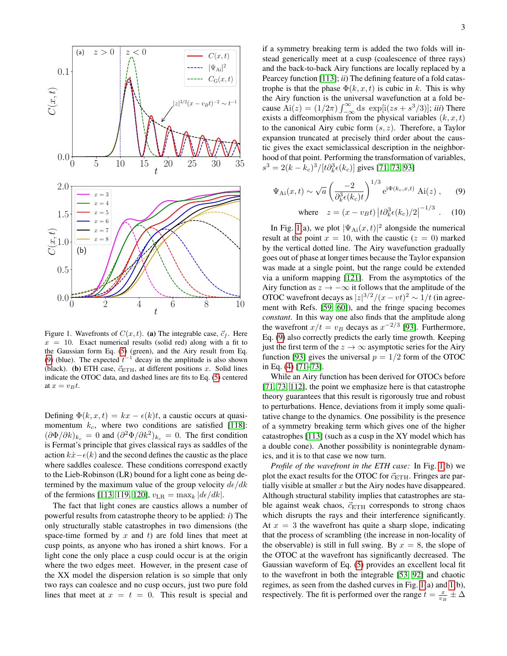

<span id="page-2-1"></span>Figure 1. Wavefronts of  $C(x, t)$ . (a) The integrable case,  $\vec{c}_f$ . Here  $x = 10$ . Exact numerical results (solid red) along with a fit to the Gaussian form Eq. [\(5\)](#page-1-0) (green), and the Airy result from Eq. [\(9\)](#page-2-0) (blue). The expected  $t^{-1}$  decay in the amplitude is also shown (black). (b) ETH case,  $\vec{c}_{\text{ETH}}$ , at different positions x. Solid lines indicate the OTOC data, and dashed lines are fits to Eq. [\(5\)](#page-1-0) centered at  $x = v_B t$ .

Defining  $\Phi(k, x, t) = kx - \epsilon(k)t$ , a caustic occurs at quasimomentum  $k_c$ , where two conditions are satisfied [\[118\]](#page-6-18):  $(\partial \Phi / \partial k)_{k_c} = 0$  and  $(\partial^2 \Phi / \partial k^2)_{k_c} = 0$ . The first condition is Fermat's principle that gives classical rays as saddles of the action  $k\dot{x} - \epsilon(k)$  and the second defines the caustic as the place where saddles coalesce. These conditions correspond exactly to the Lieb-Robinson (LR) bound for a light cone as being determined by the maximum value of the group velocity  $d\epsilon/dk$ of the fermions [\[113,](#page-6-13) [119,](#page-6-19) [120\]](#page-6-20),  $v_{LR} = \max_k |d\epsilon/dk|$ .

The fact that light cones are caustics allows a number of powerful results from catastrophe theory to be applied: *i*) The only structurally stable catastrophes in two dimensions (the space-time formed by  $x$  and  $t$ ) are fold lines that meet at cusp points, as anyone who has ironed a shirt knows. For a light cone the only place a cusp could occur is at the origin where the two edges meet. However, in the present case of the XX model the dispersion relation is so simple that only two rays can coalesce and no cusp occurs, just two pure fold lines that meet at  $x = t = 0$ . This result is special and

if a symmetry breaking term is added the two folds will instead generically meet at a cusp (coalescence of three rays) and the back-to-back Airy functions are locally replaced by a Pearcey function [\[113\]](#page-6-13); *ii*) The defining feature of a fold catastrophe is that the phase  $\Phi(k, x, t)$  is cubic in k. This is why the Airy function is the universal wavefunction at a fold because  $\text{Ai}(z) = (1/2\pi) \int_{-\infty}^{\infty} ds \, \exp[i(zs + s^3/3)]; \, iii)$  There exists a diffeomorphism from the physical variables  $(k, x, t)$ to the canonical Airy cubic form  $(s, z)$ . Therefore, a Taylor expansion truncated at precisely third order about the caustic gives the exact semiclassical description in the neighborhood of that point. Performing the transformation of variables,  $s^3 = 2(k - k_c)^3 / [t \partial_k^3 \epsilon(k_c)]$  gives [\[71,](#page-5-9) [73,](#page-5-10) [93\]](#page-6-4)

$$
\Psi_{\mathrm{Ai}}(x,t) \sim \sqrt{a} \left( \frac{-2}{\partial_k^3 \epsilon(k_c)t} \right)^{1/3} e^{i\Phi(k_c,x,t)} \mathrm{Ai}(z) ,\qquad (9)
$$

<span id="page-2-0"></span>where 
$$
z = (x - v_B t) |t \partial_k^3 \epsilon(k_c)/2|^{-1/3}
$$
. (10)

In Fig. [1\(](#page-2-1)a), we plot  $|\Psi_{\text{Ai}}(x,t)|^2$  alongside the numerical result at the point  $x = 10$ , with the caustic  $(z = 0)$  marked by the vertical dotted line. The Airy wavefunction gradually goes out of phase at longer times because the Taylor expansion was made at a single point, but the range could be extended via a uniform mapping [\[121\]](#page-6-21). From the asymptotics of the Airy function as  $z \to -\infty$  it follows that the amplitude of the OTOC wavefront decays as  $|z|^{3/2}/(x-vt)^2 \sim 1/t$  (in agreement with Refs. [\[59,](#page-5-18) [60\]](#page-5-19)), and the fringe spacing becomes *constant*. In this way one also finds that the amplitude along the wavefront  $x/t = v_B$  decays as  $x^{-2/3}$  [\[93\]](#page-6-4). Furthermore, Eq. [\(9\)](#page-2-0) also correctly predicts the early time growth. Keeping just the first term of the  $z \to \infty$  asymptotic series for the Airy function [\[93\]](#page-6-4) gives the universal  $p = 1/2$  form of the OTOC in Eq. [\(4\)](#page-0-0) [\[71–](#page-5-9)[73\]](#page-5-10).

While an Airy function has been derived for OTOCs before [\[71,](#page-5-9) [73,](#page-5-10) [112\]](#page-6-12), the point we emphasize here is that catastrophe theory guarantees that this result is rigorously true and robust to perturbations. Hence, deviations from it imply some qualitative change to the dynamics. One possibility is the presence of a symmetry breaking term which gives one of the higher catastrophes [\[113\]](#page-6-13) (such as a cusp in the XY model which has a double cone). Another possibility is nonintegrable dynamics, and it is to that case we now turn.

*Profile of the wavefront in the ETH case:* In Fig. [1\(](#page-2-1)b) we plot the exact results for the OTOC for  $\vec{c}_{\text{ETH}}$ . Fringes are partially visible at smaller  $x$  but the Airy nodes have disappeared. Although structural stability implies that catastrophes are stable against weak chaos,  $\vec{c}_{\text{ETH}}$  corresponds to strong chaos which disrupts the rays and their interference significantly. At  $x = 3$  the wavefront has quite a sharp slope, indicating that the process of scrambling (the increase in non-locality of the observable) is still in full swing. By  $x = 8$ , the slope of the OTOC at the wavefront has significantly decreased. The Gaussian waveform of Eq. [\(5\)](#page-1-0) provides an excellent local fit to the wavefront in both the integrable [\[53,](#page-5-17) [92\]](#page-6-3) and chaotic regimes, as seen from the dashed curves in Fig. [1\(](#page-2-1)a) and [1\(](#page-2-1)b), respectively. The fit is performed over the range  $t = \frac{x}{v_B} \pm \Delta$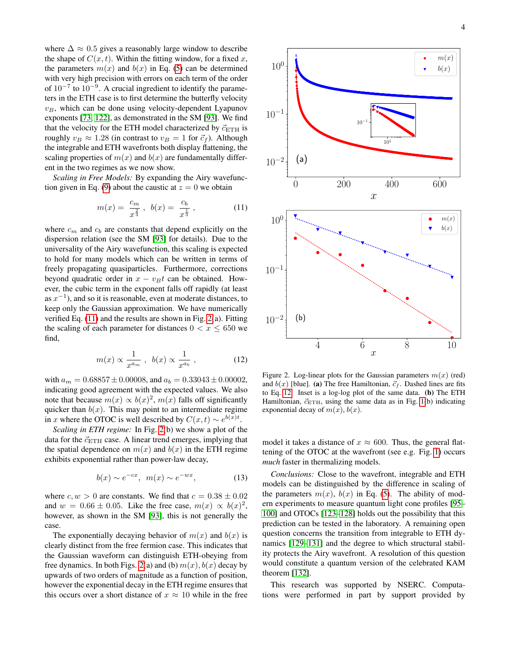where  $\Delta \approx 0.5$  gives a reasonably large window to describe the shape of  $C(x, t)$ . Within the fitting window, for a fixed x, the parameters  $m(x)$  and  $b(x)$  in Eq. [\(5\)](#page-1-0) can be determined with very high precision with errors on each term of the order of  $10^{-7}$  to  $10^{-9}$ . A crucial ingredient to identify the parameters in the ETH case is to first determine the butterfly velocity  $v_B$ , which can be done using velocity-dependent Lyapunov exponents [\[73,](#page-5-10) [122\]](#page-6-22), as demonstrated in the SM [\[93\]](#page-6-4). We find that the velocity for the ETH model characterized by  $\vec{c}_{\text{ETH}}$  is roughly  $v_B \approx 1.28$  (in contrast to  $v_B = 1$  for  $\vec{c}_f$ ). Although the integrable and ETH wavefronts both display flattening, the scaling properties of  $m(x)$  and  $b(x)$  are fundamentally different in the two regimes as we now show.

*Scaling in Free Models:* By expanding the Airy wavefunc-tion given in Eq. [\(9\)](#page-2-0) about the caustic at  $z = 0$  we obtain

<span id="page-3-0"></span>
$$
m(x) = \frac{c_m}{x^{\frac{2}{3}}}, \ b(x) = \frac{c_b}{x^{\frac{1}{3}}}, \tag{11}
$$

where  $c_m$  and  $c_b$  are constants that depend explicitly on the dispersion relation (see the SM [\[93\]](#page-6-4) for details). Due to the universality of the Airy wavefunction, this scaling is expected to hold for many models which can be written in terms of freely propagating quasiparticles. Furthermore, corrections beyond quadratic order in  $x - v_B t$  can be obtained. However, the cubic term in the exponent falls off rapidly (at least as  $x^{-1}$ ), and so it is reasonable, even at moderate distances, to keep only the Gaussian approximation. We have numerically verified Eq. [\(11\)](#page-3-0) and the results are shown in Fig. [2\(](#page-3-1)a). Fitting the scaling of each parameter for distances  $0 < x \le 650$  we find,

<span id="page-3-2"></span>
$$
m(x) \propto \frac{1}{x^{a_m}}, \ b(x) \propto \frac{1}{x^{a_b}}, \qquad (12)
$$

with  $a_m = 0.68857 \pm 0.00008$ , and  $a_b = 0.33043 \pm 0.00002$ , indicating good agreement with the expected values. We also note that because  $m(x) \propto b(x)^2$ ,  $m(x)$  falls off significantly quicker than  $b(x)$ . This may point to an intermediate regime in x where the OTOC is well described by  $C(x,t) \sim e^{b(x)t}$ .

*Scaling in ETH regime:* In Fig. [2\(](#page-3-1)b) we show a plot of the data for the  $\vec{c}_{\text{ETH}}$  case. A linear trend emerges, implying that the spatial dependence on  $m(x)$  and  $b(x)$  in the ETH regime exhibits exponential rather than power-law decay,

$$
b(x) \sim e^{-cx}, \quad m(x) \sim e^{-wx}, \tag{13}
$$

where  $c, w > 0$  are constants. We find that  $c = 0.38 \pm 0.02$ and  $w = 0.66 \pm 0.05$ . Like the free case,  $m(x) \propto b(x)^2$ , however, as shown in the SM [\[93\]](#page-6-4), this is not generally the case.

The exponentially decaying behavior of  $m(x)$  and  $b(x)$  is clearly distinct from the free fermion case. This indicates that the Gaussian waveform can distinguish ETH-obeying from free dynamics. In both Figs. [2\(](#page-3-1)a) and (b)  $m(x)$ ,  $b(x)$  decay by upwards of two orders of magnitude as a function of position, however the exponential decay in the ETH regime ensures that this occurs over a short distance of  $x \approx 10$  while in the free



<span id="page-3-1"></span>Figure 2. Log-linear plots for the Gaussian parameters  $m(x)$  (red) and  $b(x)$  [blue]. (a) The free Hamiltonian,  $\vec{c}_f$ . Dashed lines are fits to Eq. [12.](#page-3-2) Inset is a log-log plot of the same data. (b) The ETH Hamiltonian,  $\vec{c}_{\text{ETH}}$ , using the same data as in Fig. [1\(](#page-2-1)b) indicating exponential decay of  $m(x)$ ,  $b(x)$ .

model it takes a distance of  $x \approx 600$ . Thus, the general flattening of the OTOC at the wavefront (see e.g. Fig. [1\)](#page-2-1) occurs *much* faster in thermalizing models.

*Conclusions:* Close to the wavefront, integrable and ETH models can be distinguished by the difference in scaling of the parameters  $m(x)$ ,  $b(x)$  in Eq. [\(5\)](#page-1-0). The ability of modern experiments to measure quantum light cone profiles [\[95–](#page-6-6) [100\]](#page-6-7) and OTOCs [\[123](#page-6-23)[–128\]](#page-6-24) holds out the possibility that this prediction can be tested in the laboratory. A remaining open question concerns the transition from integrable to ETH dynamics [\[129–](#page-6-25)[131\]](#page-7-0) and the degree to which structural stability protects the Airy wavefront. A resolution of this question would constitute a quantum version of the celebrated KAM theorem [\[132\]](#page-7-1).

This research was supported by NSERC. Computations were performed in part by support provided by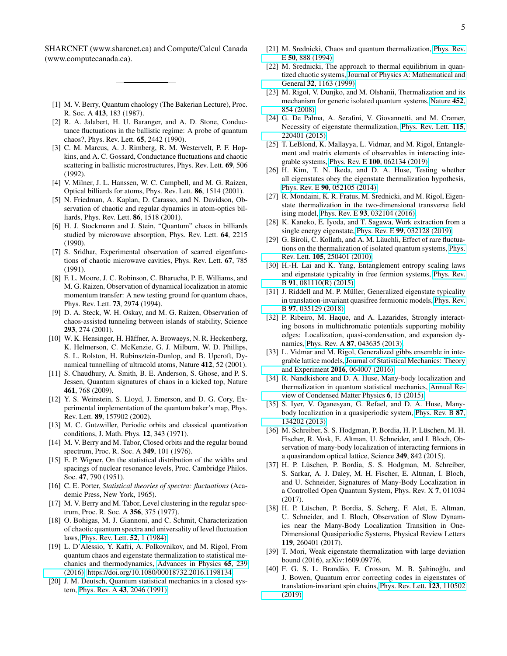SHARCNET (www.sharcnet.ca) and Compute/Calcul Canada (www.computecanada.ca).

- <span id="page-4-0"></span>[1] M. V. Berry, Quantum chaology (The Bakerian Lecture), Proc. R. Soc. A 413, 183 (1987).
- <span id="page-4-1"></span>[2] R. A. Jalabert, H. U. Baranger, and A. D. Stone, Conductance fluctuations in the ballistic regime: A probe of quantum chaos?, Phys. Rev. Lett. 65, 2442 (1990).
- [3] C. M. Marcus, A. J. Rimberg, R. M. Westervelt, P. F. Hopkins, and A. C. Gossard, Conductance fluctuations and chaotic scattering in ballistic microstructures, Phys. Rev. Lett. 69, 506 (1992).
- [4] V. Milner, J. L. Hanssen, W. C. Campbell, and M. G. Raizen, Optical billiards for atoms, Phys. Rev. Lett. 86, 1514 (2001).
- [5] N. Friedman, A. Kaplan, D. Carasso, and N. Davidson, Observation of chaotic and regular dynamics in atom-optics billiards, Phys. Rev. Lett. 86, 1518 (2001).
- [6] H. J. Stockmann and J. Stein, "Quantum" chaos in billiards studied by microwave absorption, Phys. Rev. Lett. 64, 2215 (1990).
- [7] S. Sridhar, Experimental observation of scarred eigenfunctions of chaotic microwave cavities, Phys. Rev. Lett. 67, 785 (1991).
- [8] F. L. Moore, J. C. Robinson, C. Bharucha, P. E. Williams, and M. G. Raizen, Observation of dynamical localization in atomic momentum transfer: A new testing ground for quantum chaos, Phys. Rev. Lett. 73, 2974 (1994).
- [9] D. A. Steck, W. H. Oskay, and M. G. Raizen, Observation of chaos-assisted tunneling between islands of stability, Science 293, 274 (2001).
- [10] W. K. Hensinger, H. Häffner, A. Browaeys, N. R. Heckenberg, K. Helmerson, C. McKenzie, G. J. Milburn, W. D. Phillips, S. L. Rolston, H. Rubinsztein-Dunlop, and B. Upcroft, Dynamical tunnelling of ultracold atoms, Nature 412, 52 (2001).
- [11] S. Chaudhury, A. Smith, B. E. Anderson, S. Ghose, and P. S. Jessen, Quantum signatures of chaos in a kicked top, Nature 461, 768 (2009).
- <span id="page-4-2"></span>[12] Y. S. Weinstein, S. Lloyd, J. Emerson, and D. G. Cory, Experimental implementation of the quantum baker's map, Phys. Rev. Lett. 89, 157902 (2002).
- <span id="page-4-3"></span>[13] M. C. Gutzwiller, Periodic orbits and classical quantization conditions, J. Math. Phys. 12, 343 (1971).
- <span id="page-4-4"></span>[14] M. V. Berry and M. Tabor, Closed orbits and the regular bound spectrum, Proc. R. Soc. A 349, 101 (1976).
- <span id="page-4-5"></span>[15] E. P. Wigner, On the statistical distribution of the widths and spacings of nuclear resonance levels, Proc. Cambridge Philos. Soc. 47, 790 (1951).
- [16] C. E. Porter, *Statistical theories of spectra: fluctuations* (Academic Press, New York, 1965).
- [17] M. V. Berry and M. Tabor, Level clustering in the regular spectrum, Proc. R. Soc. A 356, 375 (1977).
- <span id="page-4-6"></span>[18] O. Bohigas, M. J. Giannoni, and C. Schmit, Characterization of chaotic quantum spectra and universality of level fluctuation laws, [Phys. Rev. Lett.](https://doi.org/10.1103/PhysRevLett.52.1) 52, 1 (1984).
- <span id="page-4-7"></span>[19] L. D'Alessio, Y. Kafri, A. Polkovnikov, and M. Rigol, From quantum chaos and eigenstate thermalization to statistical mechanics and thermodynamics, [Advances in Physics](https://doi.org/10.1080/00018732.2016.1198134) 65, 239 [\(2016\),](https://doi.org/10.1080/00018732.2016.1198134) [https://doi.org/10.1080/00018732.2016.1198134.](https://arxiv.org/abs/https://doi.org/10.1080/00018732.2016.1198134)
- <span id="page-4-8"></span>[20] J. M. Deutsch, Quantum statistical mechanics in a closed system, Phys. Rev. A 43[, 2046 \(1991\).](https://doi.org/10.1103/PhysRevA.43.2046)
- [21] M. Srednicki, Chaos and quantum thermalization, [Phys. Rev.](https://doi.org/10.1103/PhysRevE.50.888) E 50[, 888 \(1994\).](https://doi.org/10.1103/PhysRevE.50.888)
- [22] M. Srednicki, The approach to thermal equilibrium in quantized chaotic systems, [Journal of Physics A: Mathematical and](https://doi.org/10.1088/0305-4470/32/7/007) General 32[, 1163 \(1999\).](https://doi.org/10.1088/0305-4470/32/7/007)
- [23] M. Rigol, V. Dunjko, and M. Olshanii, Thermalization and its mechanism for generic isolated quantum systems, [Nature](https://doi.org/10.1038/nature06838) 452, [854 \(2008\).](https://doi.org/10.1038/nature06838)
- <span id="page-4-9"></span>[24] G. De Palma, A. Serafini, V. Giovannetti, and M. Cramer, Necessity of eigenstate thermalization, [Phys. Rev. Lett.](https://doi.org/10.1103/PhysRevLett.115.220401) 115, [220401 \(2015\).](https://doi.org/10.1103/PhysRevLett.115.220401)
- <span id="page-4-10"></span>[25] T. LeBlond, K. Mallayya, L. Vidmar, and M. Rigol, Entanglement and matrix elements of observables in interacting integrable systems, Phys. Rev. E 100[, 062134 \(2019\).](https://doi.org/10.1103/PhysRevE.100.062134)
- [26] H. Kim, T. N. Ikeda, and D. A. Huse, Testing whether all eigenstates obey the eigenstate thermalization hypothesis, Phys. Rev. E 90[, 052105 \(2014\).](https://doi.org/10.1103/PhysRevE.90.052105)
- [27] R. Mondaini, K. R. Fratus, M. Srednicki, and M. Rigol, Eigenstate thermalization in the two-dimensional transverse field ising model, Phys. Rev. E 93[, 032104 \(2016\).](https://doi.org/10.1103/PhysRevE.93.032104)
- <span id="page-4-11"></span>[28] K. Kaneko, E. Iyoda, and T. Sagawa, Work extraction from a single energy eigenstate, Phys. Rev. E 99[, 032128 \(2019\).](https://doi.org/10.1103/PhysRevE.99.032128)
- <span id="page-4-12"></span>[29] G. Biroli, C. Kollath, and A. M. Läuchli, Effect of rare fluctuations on the thermalization of isolated quantum systems, [Phys.](https://doi.org/10.1103/PhysRevLett.105.250401) Rev. Lett. 105[, 250401 \(2010\).](https://doi.org/10.1103/PhysRevLett.105.250401)
- [30] H.-H. Lai and K. Yang, Entanglement entropy scaling laws and eigenstate typicality in free fermion systems, [Phys. Rev.](https://doi.org/10.1103/PhysRevB.91.081110) B 91[, 081110\(R\) \(2015\).](https://doi.org/10.1103/PhysRevB.91.081110)
- [31] J. Riddell and M. P. Müller, Generalized eigenstate typicality in translation-invariant quasifree fermionic models, [Phys. Rev.](https://doi.org/10.1103/PhysRevB.97.035129) B 97[, 035129 \(2018\).](https://doi.org/10.1103/PhysRevB.97.035129)
- [32] P. Ribeiro, M. Haque, and A. Lazarides, Strongly interacting bosons in multichromatic potentials supporting mobility edges: Localization, quasi-condensation, and expansion dynamics, Phys. Rev. A 87[, 043635 \(2013\).](https://doi.org/10.1103/PhysRevA.87.043635)
- [33] L. Vidmar and M. Rigol, Generalized gibbs ensemble in integrable lattice models, [Journal of Statistical Mechanics: Theory](https://doi.org/10.1088/1742-5468/2016/06/064007) and Experiment 2016[, 064007 \(2016\).](https://doi.org/10.1088/1742-5468/2016/06/064007)
- [34] R. Nandkishore and D. A. Huse, Many-body localization and thermalization in quantum statistical mechanics, [Annual Re](https://doi.org/10.1146/annurev-conmatphys-031214-014726)[view of Condensed Matter Physics](https://doi.org/10.1146/annurev-conmatphys-031214-014726) 6, 15 (2015).
- [35] S. Iyer, V. Oganesyan, G. Refael, and D. A. Huse, Manybody localization in a quasiperiodic system, [Phys. Rev. B](https://doi.org/10.1103/PhysRevB.87.134202) 87, [134202 \(2013\).](https://doi.org/10.1103/PhysRevB.87.134202)
- [36] M. Schreiber, S. S. Hodgman, P. Bordia, H. P. Lüschen, M. H. Fischer, R. Vosk, E. Altman, U. Schneider, and I. Bloch, Observation of many-body localization of interacting fermions in a quasirandom optical lattice, Science 349, 842 (2015).
- [37] H. P. Lüschen, P. Bordia, S. S. Hodgman, M. Schreiber, S. Sarkar, A. J. Daley, M. H. Fischer, E. Altman, I. Bloch, and U. Schneider, Signatures of Many-Body Localization in a Controlled Open Quantum System, Phys. Rev. X 7, 011034 (2017).
- <span id="page-4-13"></span>[38] H. P. Lüschen, P. Bordia, S. Scherg, F. Alet, E. Altman, U. Schneider, and I. Bloch, Observation of Slow Dynamics near the Many-Body Localization Transition in One-Dimensional Quasiperiodic Systems, Physical Review Letters 119, 260401 (2017).
- <span id="page-4-14"></span>[39] T. Mori, Weak eigenstate thermalization with large deviation bound (2016), arXiv:1609.09776.
- [40] F. G. S. L. Brandão, E. Crosson, M. B. Şahinoğlu, and J. Bowen, Quantum error correcting codes in eigenstates of translation-invariant spin chains, [Phys. Rev. Lett.](https://doi.org/10.1103/PhysRevLett.123.110502) 123, 110502 [\(2019\).](https://doi.org/10.1103/PhysRevLett.123.110502)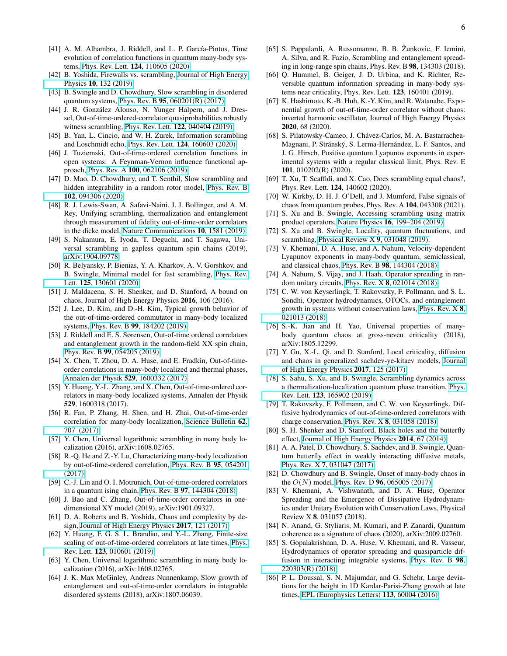- <span id="page-5-0"></span>[41] A. M. Alhambra, J. Riddell, and L. P. García-Pintos, Time evolution of correlation functions in quantum many-body systems, Phys. Rev. Lett. 124[, 110605 \(2020\).](https://doi.org/10.1103/PhysRevLett.124.110605)
- <span id="page-5-1"></span>[42] B. Yoshida, Firewalls vs. scrambling, [Journal of High Energy](https://doi.org/https://doi.org/10.1007/JHEP10(2019)132) Physics 10[, 132 \(2019\).](https://doi.org/https://doi.org/10.1007/JHEP10(2019)132)
- <span id="page-5-5"></span>[43] B. Swingle and D. Chowdhury, Slow scrambling in disordered quantum systems, Phys. Rev. B 95[, 060201\(R\) \(2017\).](https://doi.org/10.1103/PhysRevB.95.060201)
- [44] J. R. González Alonso, N. Yunger Halpern, and J. Dressel, Out-of-time-ordered-correlator quasiprobabilities robustly witness scrambling, Phys. Rev. Lett. 122[, 040404 \(2019\).](https://doi.org/10.1103/PhysRevLett.122.040404)
- [45] B. Yan, L. Cincio, and W. H. Zurek, Information scrambling and Loschmidt echo, Phys. Rev. Lett. 124[, 160603 \(2020\).](https://doi.org/10.1103/PhysRevLett.124.160603)
- [46] J. Tuziemski, Out-of-time-ordered correlation functions in open systems: A Feynman-Vernon influence functional approach, Phys. Rev. A 100[, 062106 \(2019\).](https://doi.org/10.1103/PhysRevA.100.062106)
- [47] D. Mao, D. Chowdhury, and T. Senthil, Slow scrambling and hidden integrability in a random rotor model, [Phys. Rev. B](https://doi.org/10.1103/PhysRevB.102.094306) 102[, 094306 \(2020\).](https://doi.org/10.1103/PhysRevB.102.094306)
- [48] R. J. Lewis-Swan, A. Safavi-Naini, J. J. Bollinger, and A. M. Rey, Unifying scrambling, thermalization and entanglement through measurement of fidelity out-of-time-order correlators in the dicke model, [Nature Communications](https://doi.org/10.1038/s41467-019-09436-y) 10, 1581 (2019).
- [49] S. Nakamura, E. Iyoda, T. Deguchi, and T. Sagawa, Universal scrambling in gapless quantum spin chains (2019), [arXiv:1904.09778.](https://arxiv.org/abs/arXiv:1904.09778)
- [50] R. Belyansky, P. Bienias, Y. A. Kharkov, A. V. Gorshkov, and B. Swingle, Minimal model for fast scrambling, [Phys. Rev.](https://doi.org/10.1103/PhysRevLett.125.130601) Lett. 125[, 130601 \(2020\).](https://doi.org/10.1103/PhysRevLett.125.130601)
- <span id="page-5-2"></span>[51] J. Maldacena, S. H. Shenker, and D. Stanford, A bound on chaos, Journal of High Energy Physics 2016, 106 (2016).
- <span id="page-5-3"></span>[52] J. Lee, D. Kim, and D.-H. Kim, Typical growth behavior of the out-of-time-ordered commutator in many-body localized systems, Phys. Rev. B 99[, 184202 \(2019\).](https://doi.org/10.1103/PhysRevB.99.184202)
- <span id="page-5-17"></span>[53] J. Riddell and E. S. Sørensen, Out-of-time ordered correlators and entanglement growth in the random-field XX spin chain, Phys. Rev. B 99[, 054205 \(2019\).](https://doi.org/10.1103/PhysRevB.99.054205)
- <span id="page-5-4"></span>[54] X. Chen, T. Zhou, D. A. Huse, and E. Fradkin, Out-of-timeorder correlations in many-body localized and thermal phases, [Annalen der Physik](https://doi.org/10.1002/andp.201600332) 529, 1600332 (2017).
- [55] Y. Huang, Y.-L. Zhang, and X. Chen, Out-of-time-ordered correlators in many-body localized systems, Annalen der Physik 529, 1600318 (2017).
- [56] R. Fan, P. Zhang, H. Shen, and H. Zhai, Out-of-time-order correlation for many-body localization, [Science Bulletin](https://doi.org/https://doi.org/10.1016/j.scib.2017.04.011) 62, [707 \(2017\).](https://doi.org/https://doi.org/10.1016/j.scib.2017.04.011)
- [57] Y. Chen, Universal logarithmic scrambling in many body localization (2016), arXiv:1608.02765.
- [58] R.-Q. He and Z.-Y. Lu, Characterizing many-body localization by out-of-time-ordered correlation, [Phys. Rev. B](https://doi.org/10.1103/PhysRevB.95.054201) 95, 054201 [\(2017\).](https://doi.org/10.1103/PhysRevB.95.054201)
- <span id="page-5-18"></span>[59] C.-J. Lin and O. I. Motrunich, Out-of-time-ordered correlators in a quantum ising chain, Phys. Rev. B 97[, 144304 \(2018\).](https://doi.org/10.1103/PhysRevB.97.144304)
- <span id="page-5-19"></span>[60] J. Bao and C. Zhang, Out-of-time-order correlators in onedimensional XY model (2019), arXiv:1901.09327.
- [61] D. A. Roberts and B. Yoshida, Chaos and complexity by design, [Journal of High Energy Physics](https://doi.org/10.1007/JHEP04(2017)121) 2017, 121 (2017).
- [62] Y. Huang, F. G. S. L. Brandão, and Y.-L. Zhang, Finite-size scaling of out-of-time-ordered correlators at late times, [Phys.](https://doi.org/10.1103/PhysRevLett.123.010601) Rev. Lett. 123[, 010601 \(2019\).](https://doi.org/10.1103/PhysRevLett.123.010601)
- [63] Y. Chen, Universal logarithmic scrambling in many body localization (2016), arXiv:1608.02765.
- <span id="page-5-6"></span>[64] J. K. Max McGinley, Andreas Nunnenkamp, Slow growth of entanglement and out-of-time-order correlators in integrable disordered systems (2018), arXiv:1807.06039.
- <span id="page-5-7"></span>[65] S. Pappalardi, A. Russomanno, B. B. Žunkovic, F. Iemini, A. Silva, and R. Fazio, Scrambling and entanglement spreading in long-range spin chains, Phys. Rev. B 98, 134303 (2018).
- [66] Q. Hummel, B. Geiger, J. D. Urbina, and K. Richter, Reversible quantum information spreading in many-body systems near criticality, Phys. Rev. Lett. 123, 160401 (2019).
- [67] K. Hashimoto, K.-B. Huh, K.-Y. Kim, and R. Watanabe, Exponential growth of out-of-time-order correlator without chaos: inverted harmonic oscillator, Journal of High Energy Physics 2020, 68 (2020).
- [68] S. Pilatowsky-Cameo, J. Chávez-Carlos, M. A. Bastarrachea-Magnani, P. Stránský, S. Lerma-Hernández, L. F. Santos, and J. G. Hirsch, Positive quantum Lyapunov exponents in experimental systems with a regular classical limit, Phys. Rev. E 101, 010202(R) (2020).
- [69] T. Xu, T. Scaffidi, and X. Cao, Does scrambling equal chaos?, Phys. Rev. Lett. 124, 140602 (2020).
- <span id="page-5-8"></span>[70] W. Kirkby, D. H. J. O'Dell, and J. Mumford, False signals of chaos from quantum probes, Phys. Rev. A 104, 043308 (2021).
- <span id="page-5-9"></span>[71] S. Xu and B. Swingle, Accessing scrambling using matrix product operators, Nature Physics 16[, 199–204 \(2019\).](https://doi.org/10.1038/s41567-019-0712-4)
- <span id="page-5-12"></span>[72] S. Xu and B. Swingle, Locality, quantum fluctuations, and scrambling, [Physical Review X](https://doi.org/10.1103/physrevx.9.031048) 9, 031048 (2019).
- <span id="page-5-10"></span>[73] V. Khemani, D. A. Huse, and A. Nahum, Velocity-dependent Lyapunov exponents in many-body quantum, semiclassical, and classical chaos, Phys. Rev. B 98[, 144304 \(2018\).](https://doi.org/10.1103/PhysRevB.98.144304)
- [74] A. Nahum, S. Vijay, and J. Haah, Operator spreading in random unitary circuits, Phys. Rev. X 8[, 021014 \(2018\).](https://doi.org/10.1103/PhysRevX.8.021014)
- [75] C. W. von Keyserlingk, T. Rakovszky, F. Pollmann, and S. L. Sondhi, Operator hydrodynamics, OTOCs, and entanglement growth in systems without conservation laws, [Phys. Rev. X](https://doi.org/10.1103/PhysRevX.8.021013) 8, [021013 \(2018\).](https://doi.org/10.1103/PhysRevX.8.021013)
- [76] S.-K. Jian and H. Yao, Universal properties of manybody quantum chaos at gross-neveu criticality (2018), arXiv:1805.12299.
- [77] Y. Gu, X.-L. Qi, and D. Stanford, Local criticality, diffusion and chaos in generalized sachdev-ye-kitaev models, [Journal](https://doi.org/10.1007/JHEP05(2017)125) [of High Energy Physics](https://doi.org/10.1007/JHEP05(2017)125) 2017, 125 (2017).
- <span id="page-5-13"></span>[78] S. Sahu, S. Xu, and B. Swingle, Scrambling dynamics across a thermalization-localization quantum phase transition, [Phys.](https://doi.org/10.1103/PhysRevLett.123.165902) Rev. Lett. 123[, 165902 \(2019\).](https://doi.org/10.1103/PhysRevLett.123.165902)
- [79] T. Rakovszky, F. Pollmann, and C. W. von Keyserlingk, Diffusive hydrodynamics of out-of-time-ordered correlators with charge conservation, Phys. Rev. X 8[, 031058 \(2018\).](https://doi.org/10.1103/PhysRevX.8.031058)
- [80] S. H. Shenker and D. Stanford, Black holes and the butterfly effect, [Journal of High Energy Physics](https://doi.org/10.1007/JHEP03(2014)067) 2014, 67 (2014).
- [81] A. A. Patel, D. Chowdhury, S. Sachdev, and B. Swingle, Quantum butterfly effect in weakly interacting diffusive metals, Phys. Rev. X 7[, 031047 \(2017\).](https://doi.org/10.1103/PhysRevX.7.031047)
- <span id="page-5-11"></span>[82] D. Chowdhury and B. Swingle, Onset of many-body chaos in the  $O(N)$  model, Phys. Rev. D 96[, 065005 \(2017\).](https://doi.org/10.1103/PhysRevD.96.065005)
- <span id="page-5-14"></span>[83] V. Khemani, A. Vishwanath, and D. A. Huse, Operator Spreading and the Emergence of Dissipative Hydrodynamics under Unitary Evolution with Conservation Laws, Physical Review X 8, 031057 (2018).
- <span id="page-5-15"></span>[84] N. Anand, G. Styliaris, M. Kumari, and P. Zanardi, Quantum coherence as a signature of chaos (2020), arXiv:2009.02760.
- <span id="page-5-16"></span>[85] S. Gopalakrishnan, D. A. Huse, V. Khemani, and R. Vasseur, Hydrodynamics of operator spreading and quasiparticle diffusion in interacting integrable systems, [Phys. Rev. B](https://doi.org/10.1103/physrevb.98.220303) 98, [220303\(R\) \(2018\).](https://doi.org/10.1103/physrevb.98.220303)
- [86] P. L. Doussal, S. N. Majumdar, and G. Schehr, Large deviations for the height in 1D Kardar-Parisi-Zhang growth at late times, [EPL \(Europhysics Letters\)](https://doi.org/10.1209/0295-5075/113/60004) 113, 60004 (2016).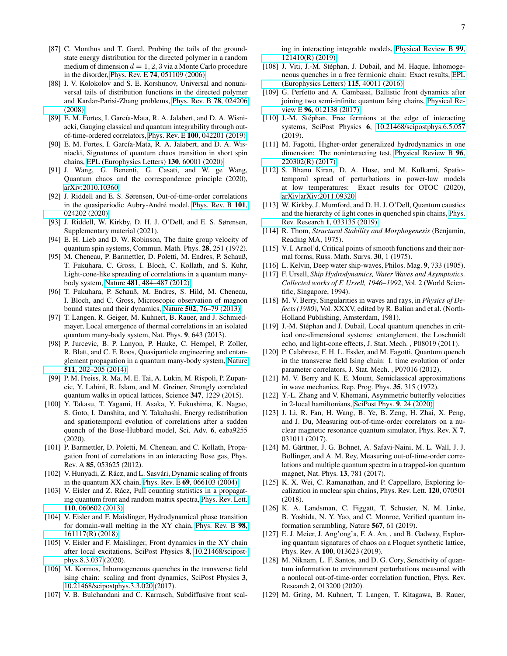- [87] C. Monthus and T. Garel, Probing the tails of the groundstate energy distribution for the directed polymer in a random medium of dimension  $d = 1, 2, 3$  via a Monte Carlo procedure in the disorder, Phys. Rev. E 74[, 051109 \(2006\).](https://doi.org/10.1103/PhysRevE.74.051109)
- <span id="page-6-0"></span>[88] I. V. Kolokolov and S. E. Korshunov, Universal and nonuniversal tails of distribution functions in the directed polymer and Kardar-Parisi-Zhang problems, [Phys. Rev. B](https://doi.org/10.1103/PhysRevB.78.024206) 78, 024206 [\(2008\).](https://doi.org/10.1103/PhysRevB.78.024206)
- <span id="page-6-1"></span>[89] E. M. Fortes, I. García-Mata, R. A. Jalabert, and D. A. Wisniacki, Gauging classical and quantum integrability through outof-time-ordered correlators, Phys. Rev. E 100[, 042201 \(2019\).](https://doi.org/10.1103/PhysRevE.100.042201)
- [90] E. M. Fortes, I. García-Mata, R. A. Jalabert, and D. A. Wisniacki, Signatures of quantum chaos transition in short spin chains, [EPL \(Europhysics Letters\)](https://doi.org/10.1209/0295-5075/130/60001) 130, 60001 (2020).
- <span id="page-6-2"></span>[91] J. Wang, G. Benenti, G. Casati, and W. ge Wang, Quantum chaos and the correspondence principle (2020), [arXiv:2010.10360.](https://arxiv.org/abs/arXiv:2010.10360)
- <span id="page-6-3"></span>[92] J. Riddell and E. S. Sørensen, Out-of-time-order correlations in the quasiperiodic Aubry-André model, [Phys. Rev. B](https://doi.org/10.1103/PhysRevB.101.024202) 101, [024202 \(2020\).](https://doi.org/10.1103/PhysRevB.101.024202)
- <span id="page-6-4"></span>[93] J. Riddell, W. Kirkby, D. H. J. O'Dell, and E. S. Sørensen, Supplementary material (2021).
- <span id="page-6-5"></span>[94] E. H. Lieb and D. W. Robinson, The finite group velocity of quantum spin systems, Commun. Math. Phys. 28, 251 (1972).
- <span id="page-6-6"></span>[95] M. Cheneau, P. Barmettler, D. Poletti, M. Endres, P. Schauß, T. Fukuhara, C. Gross, I. Bloch, C. Kollath, and S. Kuhr, Light-cone-like spreading of correlations in a quantum manybody system, Nature 481[, 484–487 \(2012\).](https://doi.org/10.1038/nature10748)
- [96] T. Fukuhara, P. Schauß, M. Endres, S. Hild, M. Cheneau, I. Bloch, and C. Gross, Microscopic observation of magnon bound states and their dynamics, Nature 502[, 76–79 \(2013\).](https://doi.org/10.1038/nature12541)
- [97] T. Langen, R. Geiger, M. Kuhnert, B. Rauer, and J. Schmiedmayer, Local emergence of thermal correlations in an isolated quantum many-body system, Nat. Phys. 9, 643 (2013).
- [98] P. Jurcevic, B. P. Lanyon, P. Hauke, C. Hempel, P. Zoller, R. Blatt, and C. F. Roos, Quasiparticle engineering and entanglement propagation in a quantum many-body system, [Nature](https://doi.org/10.1038/nature13461) 511[, 202–205 \(2014\).](https://doi.org/10.1038/nature13461)
- [99] P. M. Preiss, R. Ma, M. E. Tai, A. Lukin, M. Rispoli, P. Zupancic, Y. Lahini, R. Islam, and M. Greiner, Strongly correlated quantum walks in optical lattices, Science 347, 1229 (2015).
- <span id="page-6-7"></span>[100] Y. Takasu, T. Yagami, H. Asaka, Y. Fukushima, K. Nagao, S. Goto, I. Danshita, and Y. Takahashi, Energy redistribution and spatiotemporal evolution of correlations after a sudden quench of the Bose-Hubbard model, Sci. Adv. 6, eaba9255 (2020).
- <span id="page-6-8"></span>[101] P. Barmettler, D. Poletti, M. Cheneau, and C. Kollath, Propagation front of correlations in an interacting Bose gas, Phys. Rev. A 85, 053625 (2012).
- <span id="page-6-9"></span>[102] V. Hunyadi, Z. Rácz, and L. Sasvári, Dynamic scaling of fronts in the quantum XX chain, Phys. Rev. E 69[, 066103 \(2004\).](https://doi.org/10.1103/physreve.69.066103)
- [103] V. Eisler and Z. Rácz, Full counting statistics in a propagating quantum front and random matrix spectra, [Phys. Rev. Lett.](https://doi.org/10.1103/physrevlett.110.060602) 110[, 060602 \(2013\).](https://doi.org/10.1103/physrevlett.110.060602)
- [104] V. Eisler and F. Maislinger, Hydrodynamical phase transition for domain-wall melting in the XY chain, [Phys. Rev. B](https://doi.org/10.1103/physrevb.98.161117) 98, [161117\(R\) \(2018\).](https://doi.org/10.1103/physrevb.98.161117)
- [105] V. Eisler and F. Maislinger, Front dynamics in the XY chain after local excitations, SciPost Physics 8, [10.21468/scipost](https://doi.org/10.21468/scipostphys.8.3.037)[phys.8.3.037](https://doi.org/10.21468/scipostphys.8.3.037) (2020).
- [106] M. Kormos, Inhomogeneous quenches in the transverse field ising chain: scaling and front dynamics, SciPost Physics 3, [10.21468/scipostphys.3.3.020](https://doi.org/10.21468/scipostphys.3.3.020) (2017).
- [107] V. B. Bulchandani and C. Karrasch, Subdiffusive front scal-

ing in interacting integrable models, [Physical Review B](https://doi.org/10.1103/physrevb.99.121410) 99, [121410\(R\) \(2019\).](https://doi.org/10.1103/physrevb.99.121410)

- [108] J. Viti, J.-M. Stéphan, J. Dubail, and M. Haque, Inhomogeneous quenches in a free fermionic chain: Exact results, [EPL](https://doi.org/10.1209/0295-5075/115/40011) [\(Europhysics Letters\)](https://doi.org/10.1209/0295-5075/115/40011) 115, 40011 (2016).
- <span id="page-6-10"></span>[109] G. Perfetto and A. Gambassi, Ballistic front dynamics after joining two semi-infinite quantum Ising chains, [Physical Re](https://doi.org/10.1103/physreve.96.012138)view E 96[, 012138 \(2017\).](https://doi.org/10.1103/physreve.96.012138)
- <span id="page-6-11"></span>[110] J.-M. Stéphan, Free fermions at the edge of interacting systems, SciPost Physics 6, [10.21468/scipostphys.6.5.057](https://doi.org/10.21468/scipostphys.6.5.057) (2019).
- [111] M. Fagotti, Higher-order generalized hydrodynamics in one dimension: The noninteracting test, [Physical Review B](https://doi.org/10.1103/physrevb.96.220302) 96, [220302\(R\) \(2017\).](https://doi.org/10.1103/physrevb.96.220302)
- <span id="page-6-12"></span>[112] S. Bhanu Kiran, D. A. Huse, and M. Kulkarni, Spatiotemporal spread of perturbations in power-law models at low temperatures: Exact results for OTOC (2020), [arXiv:arXiv:2011.09320.](https://arxiv.org/abs/arXiv:2011.09320)
- <span id="page-6-13"></span>[113] W. Kirkby, J. Mumford, and D. H. J. O'Dell, Quantum caustics and the hierarchy of light cones in quenched spin chains, [Phys.](https://doi.org/10.1103/PhysRevResearch.1.033135) Rev. Research 1[, 033135 \(2019\).](https://doi.org/10.1103/PhysRevResearch.1.033135)
- <span id="page-6-14"></span>[114] R. Thom, *Structural Stability and Morphogenesis* (Benjamin, Reading MA, 1975).
- <span id="page-6-15"></span>[115] V. I. Arnol'd, Critical points of smooth functions and their normal forms, Russ. Math. Survs. 30, 1 (1975).
- <span id="page-6-16"></span>[116] L. Kelvin, Deep water ship-waves, Philos. Mag. 9, 733 (1905).
- <span id="page-6-17"></span>[117] F. Ursell, *Ship Hydrodynamics, Water Waves and Asymptotics. Collected works of F. Ursell, 1946–1992*, Vol. 2 (World Scientific, Singapore, 1994).
- <span id="page-6-18"></span>[118] M. V. Berry, Singularities in waves and rays, in *Physics of Defects (1980)*, Vol. XXXV, edited by R. Balian and et al. (North-Holland Publishing, Amsterdam, 1981).
- <span id="page-6-19"></span>[119] J.-M. Stéphan and J. Dubail, Local quantum quenches in critical one-dimensional systems: entanglement, the Loschmidt echo, and light-cone effects, J. Stat. Mech. , P08019 (2011).
- <span id="page-6-20"></span>[120] P. Calabrese, F. H. L. Essler, and M. Fagotti, Quantum quench in the transverse field Ising chain: I. time evolution of order parameter correlators, J. Stat. Mech. , P07016 (2012).
- <span id="page-6-21"></span>[121] M. V. Berry and K. E. Mount, Semiclassical approximations in wave mechanics, Rep. Prog. Phys. 35, 315 (1972).
- <span id="page-6-22"></span>[122] Y.-L. Zhang and V. Khemani, Asymmetric butterfly velocities in 2-local hamiltonians, [SciPost Phys.](https://doi.org/10.21468/SciPostPhys.9.2.024) 9, 24 (2020).
- <span id="page-6-23"></span>[123] J. Li, R. Fan, H. Wang, B. Ye, B. Zeng, H. Zhai, X. Peng, and J. Du, Measuring out-of-time-order correlators on a nuclear magnetic resonance quantum simulator, Phys. Rev. X 7, 031011 (2017).
- [124] M. Gärttner, J. G. Bohnet, A. Safavi-Naini, M. L. Wall, J. J. Bollinger, and A. M. Rey, Measuring out-of-time-order correlations and multiple quantum spectra in a trapped-ion quantum magnet, Nat. Phys. 13, 781 (2017).
- [125] K. X. Wei, C. Ramanathan, and P. Cappellaro, Exploring localization in nuclear spin chains, Phys. Rev. Lett. 120, 070501 (2018).
- [126] K. A. Landsman, C. Figgatt, T. Schuster, N. M. Linke, B. Yoshida, N. Y. Yao, and C. Monroe, Verified quantum information scrambling, Nature 567, 61 (2019).
- [127] E. J. Meier, J. Ang'ong'a, F. A. An, , and B. Gadway, Exploring quantum signatures of chaos on a Floquet synthetic lattice, Phys. Rev. A 100, 013623 (2019).
- <span id="page-6-24"></span>[128] M. Niknam, L. F. Santos, and D. G. Cory, Sensitivity of quantum information to environment perturbations measured with a nonlocal out-of-time-order correlation function, Phys. Rev. Research 2, 013200 (2020).
- <span id="page-6-25"></span>[129] M. Gring, M. Kuhnert, T. Langen, T. Kitagawa, B. Rauer,